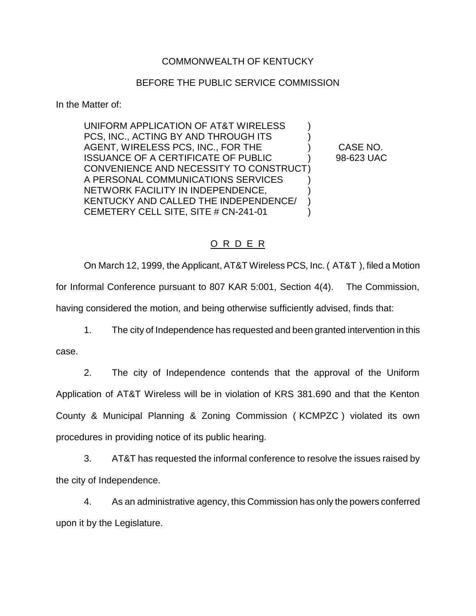## COMMONWEALTH OF KENTUCKY

## BEFORE THE PUBLIC SERVICE COMMISSION

In the Matter of:

UNIFORM APPLICATION OF AT&T WIRELESS ) PCS, INC., ACTING BY AND THROUGH ITS AGENT, WIRELESS PCS, INC., FOR THE ) CASE NO. ISSUANCE OF A CERTIFICATE OF PUBLIC  $98-623$  UAC CONVENIENCE AND NECESSITY TO CONSTRUCT) A PERSONAL COMMUNICATIONS SERVICES NETWORK FACILITY IN INDEPENDENCE, ) KENTUCKY AND CALLED THE INDEPENDENCE/ CEMETERY CELL SITE, SITE # CN-241-01 )

## O R D E R

On March 12, 1999, the Applicant, AT&T Wireless PCS, Inc. ( AT&T ), filed a Motion for Informal Conference pursuant to 807 KAR 5:001, Section 4(4). The Commission, having considered the motion, and being otherwise sufficiently advised, finds that:

1. The city of Independence has requested and been granted intervention in this

case.

2. The city of Independence contends that the approval of the Uniform Application of AT&T Wireless will be in violation of KRS 381.690 and that the Kenton County & Municipal Planning & Zoning Commission ( KCMPZC ) violated its own procedures in providing notice of its public hearing.

3. AT&T has requested the informal conference to resolve the issues raised by the city of Independence.

4. As an administrative agency, this Commission has only the powers conferred upon it by the Legislature.